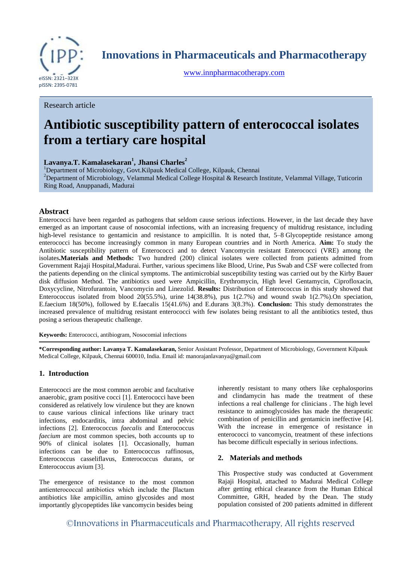

**Innovations in Pharmaceuticals and Pharmacotherapy**

[www.innpharmacotherapy.com](http://www.innpharmacotherapy.com/)

Research article

# **Antibiotic susceptibility pattern of enterococcal isolates from a tertiary care hospital**

## **Lavanya.T. Kamalasekaran<sup>1</sup> , Jhansi Charles<sup>2</sup>**

<sup>1</sup>Department of Microbiology, Govt. Kilpauk Medical College, Kilpauk, Chennai <sup>2</sup>Department of Microbiology, [Velammal Medical College Hospital & Research Institute,](https://www.google.co.in/url?sa=t&rct=j&q=&esrc=s&source=web&cd=1&cad=rja&uact=8&ved=0ahUKEwjn98nk-a7RAhXGQo8KHW27DIIQFggaMAA&url=http%3A%2F%2Fwww.velammalmedicalcollege.edu.in%2F&usg=AFQjCNG61awJwkYW7EaHMJ7qPucBTf2Lhg&sig2=4-qfixRRh-9-5t10xRFPcA) Velammal Village, Tuticorin Ring Road, Anuppanadi, Madurai

## **Abstract**

Enterococci have been regarded as pathogens that seldom cause serious infections. However, in the last decade they have emerged as an important cause of nosocomial infections, with an increasing frequency of multidrug resistance, including high-level resistance to gentamicin and resistance to ampicillin. It is noted that, [5](http://jac.oxfordjournals.org/content/48/1/53.full#ref-5)[–8](http://jac.oxfordjournals.org/content/48/1/53.full#ref-8) Glycopeptide resistance among enterococci has become increasingly common in many European countries and in North America. **Aim:** To study the Antibiotic susceptibility pattern of Enterococci and to detect Vancomycin resistant Enterococci (VRE) among the isolates**.Materials and Methods:** Two hundred (200) clinical isolates were collected from patients admitted from Government Rajaji Hospital,Madurai. Further, various specimens like Blood, Urine, Pus Swab and CSF were collected from the patients depending on the clinical symptoms. The antimicrobial susceptibility testing was carried out by the Kirby Bauer disk diffusion Method. The antibiotics used were Ampicillin, Erythromycin, High level Gentamycin, Ciprofloxacin, Doxycycline, Nitrofurantoin, Vancomycin and Linezolid. **Results:** Distribution of Enterococcus in this study showed that Enterococcus isolated from blood  $20(55.5\%)$ , urine 14(38.8%), pus 1(2.7%) and wound swab 1(2.7%).On speciation, E.faecium 18(50%), followed by E.faecalis 15(41.6%) and E.durans 3(8.3%). **Conclusion:** This study demonstrates the increased prevalence of multidrug resistant enterococci with few isolates being resistant to all the antibiotics tested, thus posing a serious therapeutic challenge.

**Keywords:** Enterococci, antibiogram, Nosocomial infections

**\*Corresponding author: Lavanya T. Kamalasekaran,** Senior Assistant Professor, Department of Microbiology, Government Kilpauk Medical College, Kilpauk, Chennai 600010, India. Email id: manorajanlavanya@gmail.com

## **1. Introduction**

Enterococci are the most common aerobic and facultative anaerobic, gram positive cocci [1]. Enterococci have been considered as relatively low virulence but they are known to cause various clinical infections like urinary tract infections, endocarditis, intra abdominal and pelvic infections [2]. Enterococcus *faecalis* and Enterococcus *faecium* are most common species, both accounts up to 90% of clinical isolates [1]. Occasionally, human infections can be due to Enterococcus raffinosus, Enterococcus casseliflavus, Enterococcus durans*,* or Enterococcus avium [3].

The emergence of resistance to the most common antienterococcal antibiotics which include the βlactam antibiotics like ampicillin, amino glycosides and most importantly glycopeptides like vancomycin besides being

inherently resistant to many others like cephalosporins and clindamycin has made the treatment of these infections a real challenge for clinicians . The high level resistance to animoglycosides has made the therapeutic combination of penicillin and gentamicin ineffective [4]. With the increase in emergence of resistance in enterococci to vancomycin, treatment of these infections has become difficult especially in serious infections.

#### **2. Materials and methods**

This Prospective study was conducted at Government Rajaji Hospital, attached to Madurai Medical College after getting ethical clearance from the Human Ethical Committee, GRH, headed by the Dean. The study population consisted of 200 patients admitted in different

©Innovations in Pharmaceuticals and Pharmacotherapy, All rights reserved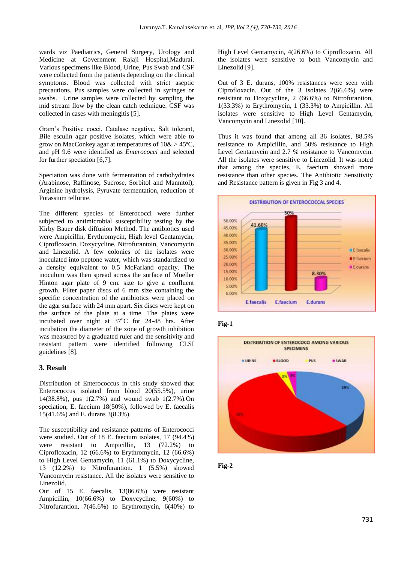wards viz Paediatrics, General Surgery, Urology and Medicine at Government Rajaji Hospital,Madurai. Various specimens like Blood, Urine, Pus Swab and CSF were collected from the patients depending on the clinical symptoms. Blood was collected with strict aseptic precautions. Pus samples were collected in syringes or swabs. Urine samples were collected by sampling the mid stream flow by the clean catch technique. CSF was collected in cases with meningitis [5].

Gram's Positive cocci, Catalase negative, Salt tolerant, Bile esculin agar positive isolates, which were able to grow on MacConkey agar at temperatures of  $10\> 45^{\circ}\text{C}$ , and pH 9.6 were identified as *Enterococci* and selected for further speciation [6,7].

Speciation was done with fermentation of carbohydrates (Arabinose, Raffinose, Sucrose, Sorbitol and Mannitol), Arginine hydrolysis, Pyruvate fermentation, reduction of Potassium tellurite.

The different species of Enterococci were further subjected to antimicrobial susceptibility testing by the Kirby Bauer disk diffusion Method. The antibiotics used were Ampicillin, Erythromycin, High level Gentamycin, Ciprofloxacin, Doxycycline, Nitrofurantoin, Vancomycin and Linezolid. A few colonies of the isolates were inoculated into peptone water, which was standardized to a density equivalent to 0.5 McFarland opacity. The inoculum was then spread across the surface of Mueller Hinton agar plate of 9 cm. size to give a confluent growth. Filter paper discs of 6 mm size containing the specific concentration of the antibiotics were placed on the agar surface with 24 mm apart. Six discs were kept on the surface of the plate at a time. The plates were incubated over night at  $37^{\circ}$ C for 24-48 hrs. After incubation the diameter of the zone of growth inhibition was measured by a graduated ruler and the sensitivity and resistant pattern were identified following CLSI guidelines [8].

#### **3. Result**

Distribution of Enterococcus in this study showed that Enterococcus isolated from blood 20(55.5%), urine 14(38.8%), pus 1(2.7%) and wound swab 1(2.7%).On speciation, E. faecium 18(50%), followed by E. faecalis 15(41.6%) and E. durans 3(8.3%).

The susceptibility and resistance patterns of Enterococci were studied. Out of 18 E. faecium isolates, 17 (94.4%) were resistant to Ampicillin, 13 (72.2%) to Ciprofloxacin, 12 (66.6%) to Erythromycin, 12 (66.6%) to High Level Gentamycin, 11 (61.1%) to Doxycycline, 13 (12.2%) to Nitrofurantion. 1 (5.5%) showed Vancomycin resistance. All the isolates were sensitive to Linezolid.

Out of 15 E. faecalis, 13(86.6%) were resistant Ampicillin, 10(66.6%) to Doxycycline, 9(60%) to Nitrofurantion, 7(46.6%) to Erythromycin, 6(40%) to

High Level Gentamycin, 4(26.6%) to Ciprofloxacin. All the isolates were sensitive to both Vancomycin and Linezolid [9].

Out of 3 E. durans, 100% resistances were seen with Ciprofloxacin. Out of the 3 isolates 2(66.6%) were resisitant to Doxycycline, 2 (66.6%) to Nitrofurantion, 1(33.3%) to Erythromycin, 1 (33.3%) to Ampicillin. All isolates were sensitive to High Level Gentamycin, Vancomycin and Linezolid [10].

Thus it was found that among all 36 isolates, 88.5% resistance to Ampicillin, and 50% resistance to High Level Gentamycin and 2.7 % resistance to Vancomycin. All the isolates were sensitive to Linezolid. It was noted that among the species, E. faecium showed more resistance than other species. The Antibiotic Sensitivity and Resistance pattern is given in Fig 3 and 4.